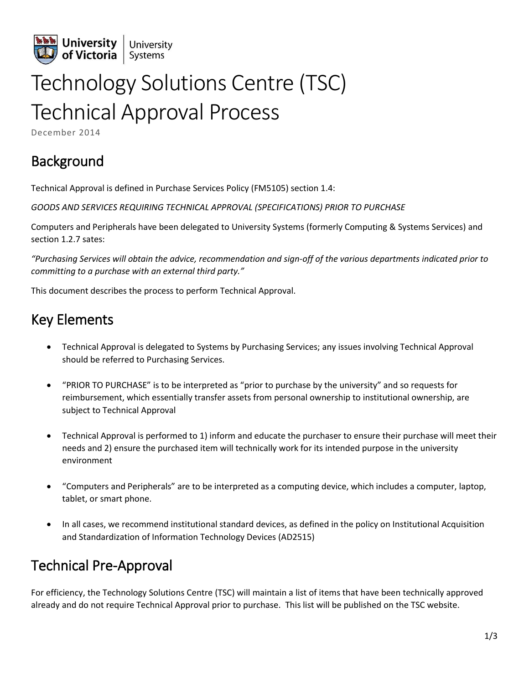

# Technology Solutions Centre (TSC) Technical Approval Process

December 2014

# Background

Technical Approval is defined in Purchase Services Policy (FM5105) section 1.4:

*GOODS AND SERVICES REQUIRING TECHNICAL APPROVAL (SPECIFICATIONS) PRIOR TO PURCHASE*

Computers and Peripherals have been delegated to University Systems (formerly Computing & Systems Services) and section 1.2.7 sates:

*"Purchasing Services will obtain the advice, recommendation and sign-off of the various departments indicated prior to committing to a purchase with an external third party."*

This document describes the process to perform Technical Approval.

# Key Elements

- Technical Approval is delegated to Systems by Purchasing Services; any issues involving Technical Approval should be referred to Purchasing Services.
- "PRIOR TO PURCHASE" is to be interpreted as "prior to purchase by the university" and so requests for reimbursement, which essentially transfer assets from personal ownership to institutional ownership, are subject to Technical Approval
- Technical Approval is performed to 1) inform and educate the purchaser to ensure their purchase will meet their needs and 2) ensure the purchased item will technically work for its intended purpose in the university environment
- "Computers and Peripherals" are to be interpreted as a computing device, which includes a computer, laptop, tablet, or smart phone.
- In all cases, we recommend institutional standard devices, as defined in the policy on Institutional Acquisition and Standardization of Information Technology Devices (AD2515)

# Technical Pre-Approval

For efficiency, the Technology Solutions Centre (TSC) will maintain a list of items that have been technically approved already and do not require Technical Approval prior to purchase. This list will be published on the TSC website.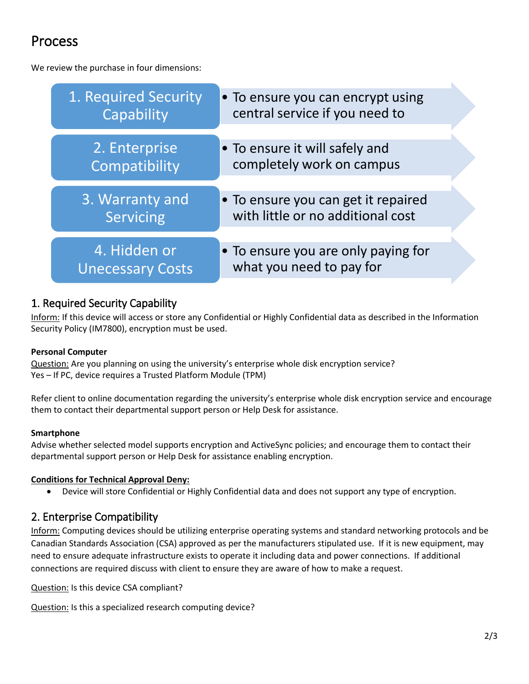# Process

We review the purchase in four dimensions:



### 1. Required Security Capability

Inform: If this device will access or store any Confidential or Highly Confidential data as described in the Information Security Policy (IM7800), encryption must be used.

#### **Personal Computer**

Question: Are you planning on using the university's enterprise whole disk encryption service? Yes – If PC, device requires a Trusted Platform Module (TPM)

Refer client to online documentation regarding the university's enterprise whole disk encryption service and encourage them to contact their departmental support person or Help Desk for assistance.

#### **Smartphone**

Advise whether selected model supports encryption and ActiveSync policies; and encourage them to contact their departmental support person or Help Desk for assistance enabling encryption.

#### **Conditions for Technical Approval Deny:**

Device will store Confidential or Highly Confidential data and does not support any type of encryption.

### 2. Enterprise Compatibility

Inform: Computing devices should be utilizing enterprise operating systems and standard networking protocols and be Canadian Standards Association (CSA) approved as per the manufacturers stipulated use. If it is new equipment, may need to ensure adequate infrastructure exists to operate it including data and power connections. If additional connections are required discuss with client to ensure they are aware of how to make a request.

Question: Is this device CSA compliant?

Question: Is this a specialized research computing device?